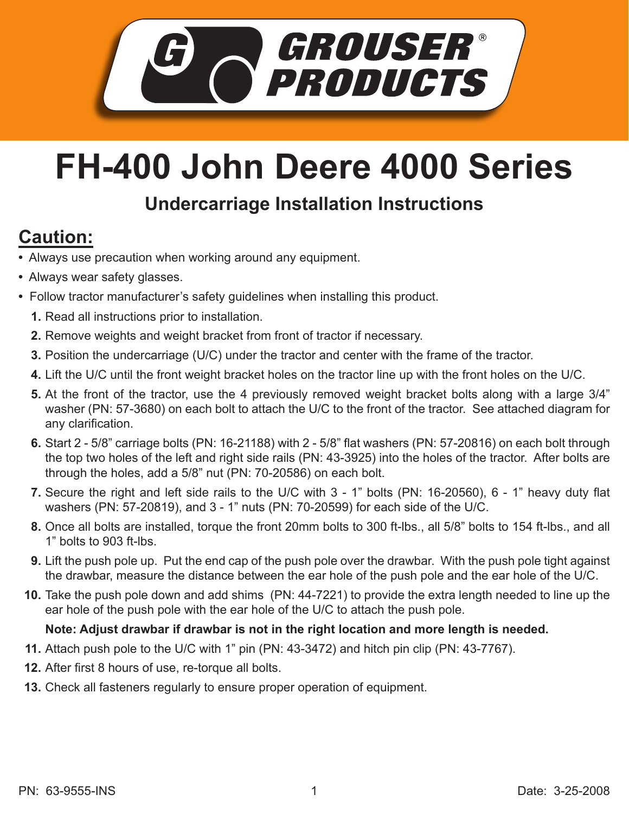

## **FH-400 John Deere 4000 Series**

## **Undercarriage Installation Instructions**

## **Caution:**

- Always use precaution when working around any equipment.
- Always wear safety glasses.
- Follow tractor manufacturer's safety guidelines when installing this product.
	- **1.** Read all instructions prior to installation.
	- 2. Remove weights and weight bracket from front of tractor if necessary.
	- **3.** Position the undercarriage (U/C) under the tractor and center with the frame of the tractor.
	- Lift the U/C until the front weight bracket holes on the tractor line up with the front holes on the U/C. **4.**
	- 5. At the front of the tractor, use the 4 previously removed weight bracket bolts along with a large 3/4" washer (PN: 57-3680) on each bolt to attach the U/C to the front of the tractor. See attached diagram for any clarification.
	- Start 2 5/8" carriage bolts (PN: 16-21188) with 2 5/8" flat washers (PN: 57-20816) on each bolt through **6.** the top two holes of the left and right side rails (PN: 43-3925) into the holes of the tractor. After bolts are through the holes, add a 5/8" nut (PN: 70-20586) on each bolt.
	- **7.** Secure the right and left side rails to the U/C with 3 1" bolts (PN: 16-20560), 6 1" heavy duty flat washers (PN: 57-20819), and 3 - 1" nuts (PN: 70-20599) for each side of the U/C.
	- Once all bolts are installed, torque the front 20mm bolts to 300 ft-lbs., all 5/8" bolts to 154 ft-lbs., and all **8.** 1" bolts to 903 ft-lbs.
	- **9.** Lift the push pole up. Put the end cap of the push pole over the drawbar. With the push pole tight against the drawbar, measure the distance between the ear hole of the push pole and the ear hole of the U/C.
	- Take the push pole down and add shims (PN: 44-7221) to provide the extra length needed to line up the **10.** ear hole of the push pole with the ear hole of the U/C to attach the push pole.

## **Note: Adjust drawbar if drawbar is not in the right location and more length is needed.**

- Attach push pole to the U/C with 1" pin (PN: 43-3472) and hitch pin clip (PN: 43-7767). **11.**
- **12.** After first 8 hours of use, re-torque all bolts.
- **13.** Check all fasteners regularly to ensure proper operation of equipment.